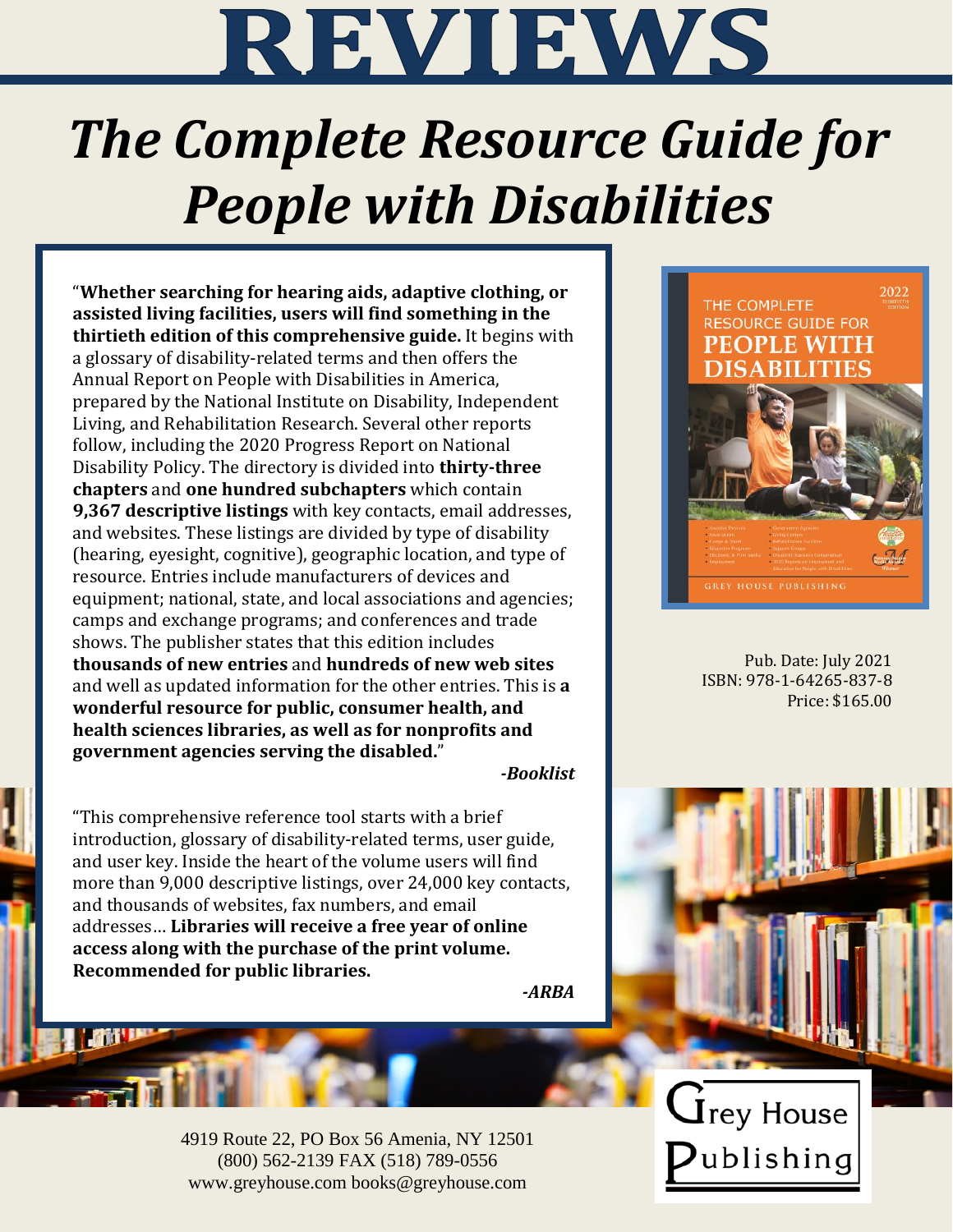

# *The Complete Resource Guide for People with Disabilities*

"**Whether searching for hearing aids, adaptive clothing, or assisted living facilities, users will find something in the thirtieth edition of this comprehensive guide.** It begins with a glossary of disability-related terms and then offers the Annual Report on People with Disabilities in America, prepared by the National Institute on Disability, Independent Living, and Rehabilitation Research. Several other reports follow, including the 2020 Progress Report on National Disability Policy. The directory is divided into **thirty-three chapters** and **one hundred subchapters** which contain **9,367 descriptive listings** with key contacts, email addresses, and websites. These listings are divided by type of disability (hearing, eyesight, cognitive), geographic location, and type of resource. Entries include manufacturers of devices and equipment; national, state, and local associations and agencies; camps and exchange programs; and conferences and trade shows. The publisher states that this edition includes **thousands of new entries** and **hundreds of new web sites** and well as updated information for the other entries. This is **a wonderful resource for public, consumer health, and health sciences libraries, as well as for nonprofits and government agencies serving the disabled.**"

### *-Booklist*

"This comprehensive reference tool starts with a brief introduction, glossary of disability-related terms, user guide, and user key. Inside the heart of the volume users will find more than 9,000 descriptive listings, over 24,000 key contacts, and thousands of websites, fax numbers, and email addresses… **Libraries will receive a free year of online access along with the purchase of the print volume. Recommended for public libraries.**



4919 Route 22, PO Box 56 Amenia, NY 12501 (800) 562-2139 FAX (518) 789-0556 www.greyhouse.com books@greyhouse.com

#### 2022 THE COMPLETE **RESOURCE GUIDE FOR PEOPLE WITH ABILITIES**



Pub. Date: July 2021 ISBN: 978-1-64265-837-8 Price: \$165.00

 $\mathbf{\dot{\mathsf{J}}}$ rey House ublishing